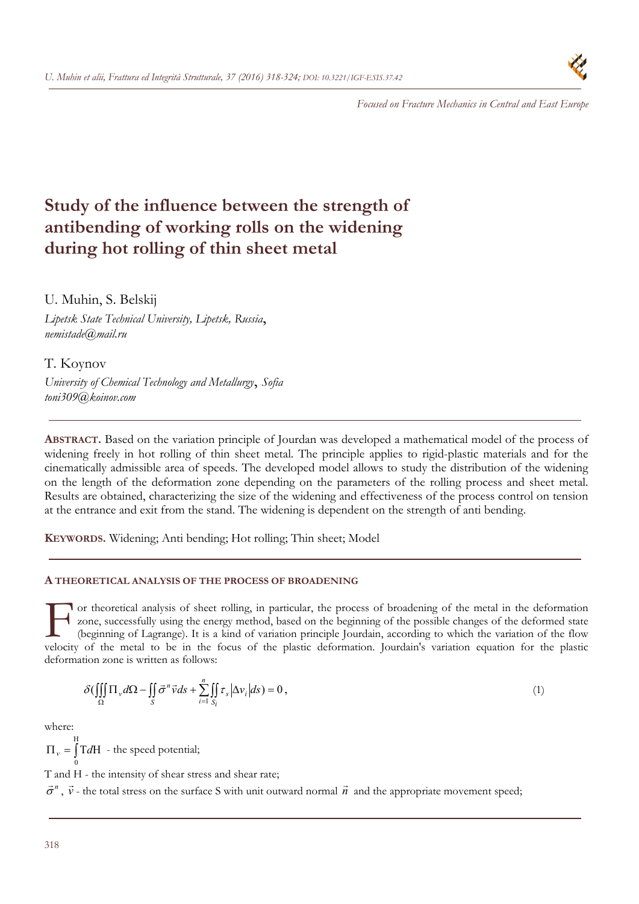

*Focused on Fracture Mechanics in Central and East Europe* 

# **Study of the influence between the strength of antibending of working rolls on the widening during hot rolling of thin sheet metal**

U. Muhin, S. Belskij

*Lipetsk State Technical University, Lipetsk, Russia*, *nemistade@mail.ru* 

T. Koynov

*University of Chemical Technology and Metallurgy*, *Sofia toni309@koinov.com* 

**ABSTRACT.** Based on the variation principle of Jourdan was developed a mathematical model of the process of widening freely in hot rolling of thin sheet metal. The principle applies to rigid-plastic materials and for the cinematically admissible area of speeds. The developed model allows to study the distribution of the widening on the length of the deformation zone depending on the parameters of the rolling process and sheet metal. Results are obtained, characterizing the size of the widening and effectiveness of the process control on tension at the entrance and exit from the stand. The widening is dependent on the strength of anti bending.

**KEYWORDS.** Widening; Anti bending; Hot rolling; Thin sheet; Model

## **A THEORETICAL ANALYSIS OF THE PROCESS OF BROADENING**

or theoretical analysis of sheet rolling, in particular, the process of broadening of the metal in the deformation zone, successfully using the energy method, based on the beginning of the possible changes of the deformed state (beginning of Lagrange). It is a kind of variation principle Jourdain, according to which the variation of the flow The metal to be in the focus of the plastic deformation of the metal in the deformation<br>
to zone, successfully using the energy method, based on the beginning of the possible changes of the deformed state<br>
(beginning of La deformation zone is written as follows:

$$
\delta \left( \iiint\limits_{\Omega} \Pi_{\nu} d\Omega - \iint\limits_{S} \vec{\sigma}^{n} \vec{\nu} ds + \sum_{i=1}^{n} \iint\limits_{S_{i}} \tau_{s} \left| \Delta \nu_{i} \right| ds \right) = 0, \qquad (1)
$$

where:

ſ H  $\Pi_{v} = \int T dH$  - the speed potential; 0

T and H - the intensity of shear stress and shear rate;

 $\vec{\sigma}^n$ ,  $\vec{v}$  - the total stress on the surface S with unit outward normal  $\vec{n}$  and the appropriate movement speed;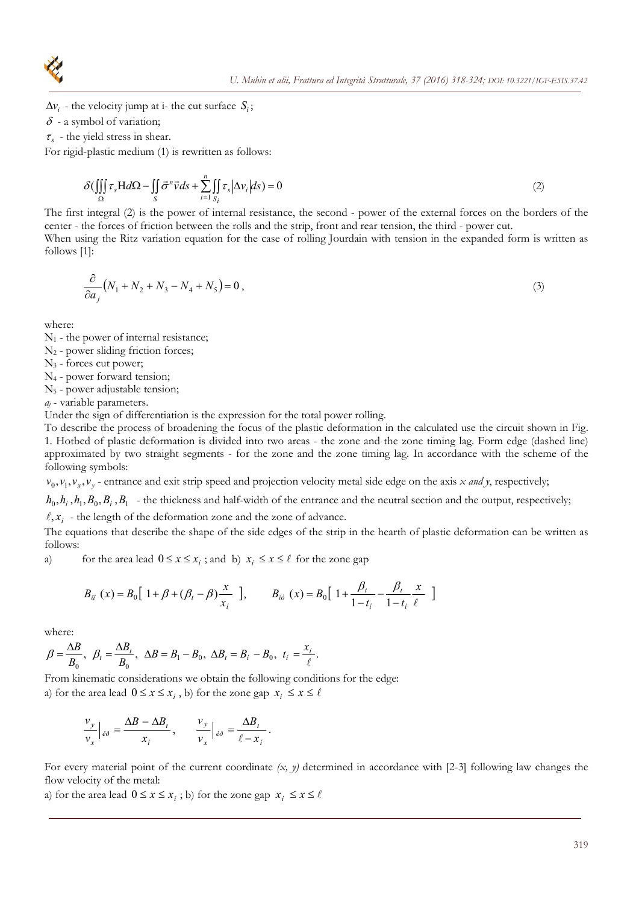

- $\Delta v_i$  the velocity jump at i- the cut surface  $S_i$ ;
- $\delta$  a symbol of variation;
- $\tau_{\rm s}$  the yield stress in shear.

For rigid-plastic medium (1) is rewritten as follows:

$$
\delta \left( \iiint\limits_{\Omega} \tau_s H d\Omega - \iint\limits_{S} \vec{\sigma}'' \vec{v} ds + \sum_{i=1}^{n} \iint\limits_{S_i} \tau_s \left| \Delta v_i \right| ds \right) = 0 \tag{2}
$$

The first integral (2) is the power of internal resistance, the second - power of the external forces on the borders of the center - the forces of friction between the rolls and the strip, front and rear tension, the third - power cut.

When using the Ritz variation equation for the case of rolling Jourdain with tension in the expanded form is written as follows [1]:

$$
\frac{\partial}{\partial a_j} (N_1 + N_2 + N_3 - N_4 + N_5) = 0,
$$
\n(3)

where:

- $N_1$  the power of internal resistance;
- N2 power sliding friction forces;

N3 - forces cut power;

- N4 power forward tension;
- N5 power adjustable tension;

*aj* - variable parameters.

Under the sign of differentiation is the expression for the total power rolling.

To describe the process of broadening the focus of the plastic deformation in the calculated use the circuit shown in Fig. 1. Hotbed of plastic deformation is divided into two areas - the zone and the zone timing lag. Form edge (dashed line) approximated by two straight segments - for the zone and the zone timing lag. In accordance with the scheme of the following symbols:

 $v_0$ ,  $v_1$ ,  $v_x$ ,  $v_y$  - entrance and exit strip speed and projection velocity metal side edge on the axis *x and y*, respectively;

 $h_0$ ,  $h_i$ ,  $h_1$ ,  $B_0$ ,  $B_i$ ,  $B_1$  - the thickness and half-width of the entrance and the neutral section and the output, respectively;  $\ell, x_i$  - the length of the deformation zone and the zone of advance.

The equations that describe the shape of the side edges of the strip in the hearth of plastic deformation can be written as follows:

a) for the area lead  $0 \le x \le x_i$ ; and b)  $x_i \le x \le \ell$  for the zone gap

$$
B_{ii}(x) = B_0 \left[ 1 + \beta + (\beta_t - \beta) \frac{x}{x_i} \right], \qquad B_{i\partial}(x) = B_0 \left[ 1 + \frac{\beta_t}{1 - t_i} - \frac{\beta_t}{1 - t_i} \frac{x}{\ell} \right]
$$

where:

$$
\beta = \frac{\Delta B}{B_0}, \ \beta_t = \frac{\Delta B_t}{B_0}, \ \Delta B = B_1 - B_0, \ \Delta B_t = B_i - B_0, \ t_i = \frac{x_i}{\ell}.
$$

From kinematic considerations we obtain the following conditions for the edge: a) for the area lead  $0 \le x \le x_i$ , b) for the zone gap  $x_i \le x \le \ell$ 

$$
\frac{v_y}{v_x}\Big|_{\dot{e}\dot{\sigma}} = \frac{\Delta B - \Delta B_t}{x_i}\,, \qquad \frac{v_y}{v_x}\Big|_{\dot{e}\dot{\sigma}} = \frac{\Delta B_t}{\ell - x_i}\,.
$$

For every material point of the current coordinate *(x, y)* determined in accordance with [2-3] following law changes the flow velocity of the metal:

a) for the area lead  $0 \le x \le x_i$ ; b) for the zone gap  $x_i \le x \le \ell$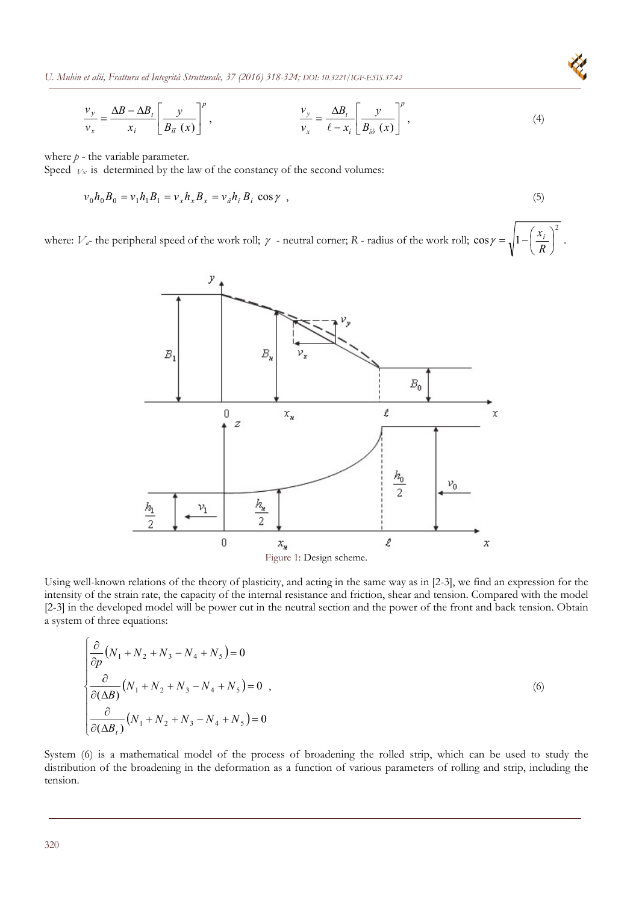*U. Muhin et alii, Frattura ed Integrità Strutturale, 37 (2016) 318-324; DOI: 10.3221/IGF-ESIS.37.42* 

$$
\frac{v_y}{v_x} = \frac{\Delta B - \Delta B_t}{x_i} \left[ \frac{y}{B_{\tilde{u}}(x)} \right]^p, \qquad \frac{v_y}{v_x} = \frac{\Delta B_t}{\ell - x_i} \left[ \frac{y}{B_{\tilde{u}}(x)} \right]^p, \tag{4}
$$

where  $p$  - the variable parameter.

Speed  $V_x$  is determined by the law of the constancy of the second volumes:

$$
v_0 h_0 B_0 = v_1 h_1 B_1 = v_x h_x B_x = v_a h_i B_i \cos \gamma , \qquad (5)
$$

2

where:  $V_a$ - the peripheral speed of the work roll;  $\gamma$  - neutral corner; *R* - radius of the work roll;  $\cos \gamma = \sqrt{1 - \left| \frac{\lambda_i}{R} \right|}$ )  $\left(\frac{x_i}{R}\right)$  $\gamma = \sqrt{1 - \left(\frac{x_i}{R}\right)^2}$ .



Using well-known relations of the theory of plasticity, and acting in the same way as in [2-3], we find an expression for the intensity of the strain rate, the capacity of the internal resistance and friction, shear and tension. Compared with the model [2-3] in the developed model will be power cut in the neutral section and the power of the front and back tension. Obtain a system of three equations:

$$
\begin{cases}\n\frac{\partial}{\partial p}(N_1 + N_2 + N_3 - N_4 + N_5) = 0 \\
\frac{\partial}{\partial (\Delta B)}(N_1 + N_2 + N_3 - N_4 + N_5) = 0 \\
\frac{\partial}{\partial (\Delta B_t)}(N_1 + N_2 + N_3 - N_4 + N_5) = 0\n\end{cases}
$$
\n(6)

System (6) is a mathematical model of the process of broadening the rolled strip, which can be used to study the distribution of the broadening in the deformation as a function of various parameters of rolling and strip, including the tension.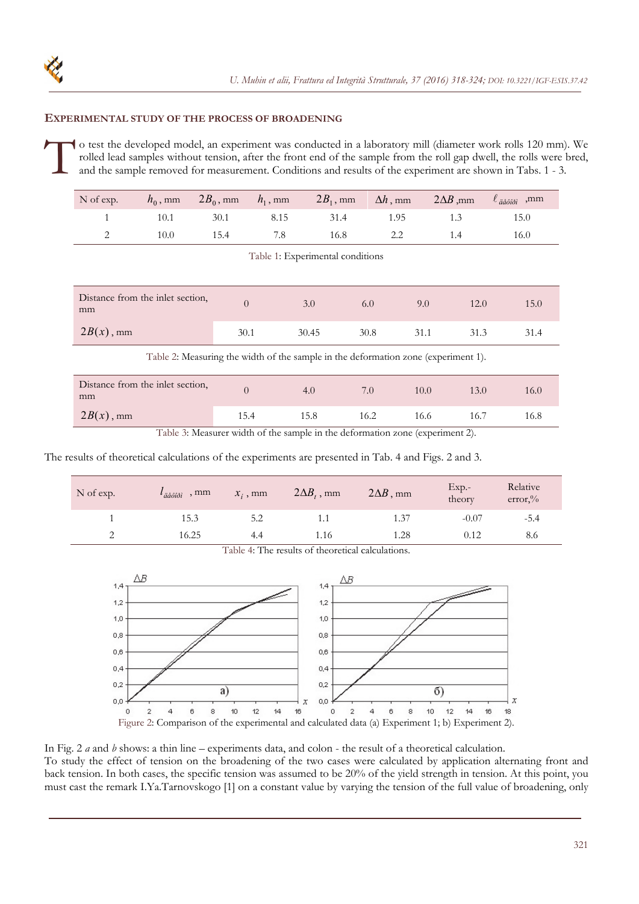## **EXPERIMENTAL STUDY OF THE PROCESS OF BROADENING**

o test the developed model, an experiment was conducted in a laboratory mill (diameter work rolls 120 mm). We rolled lead samples without tension, after the front end of the sample from the roll gap dwell, the rolls were bred, and the sample removed for measurement. Conditions and results of the experiment are shown in Tabs. 1 - 3.  $\int_{\frac{1}{a}}^{\infty}$ 

| $N$ of exp. |      |      |      | $h_0$ , mm $2B_0$ , mm $h_1$ , mm $2B_1$ , mm $\Delta h$ , mm $2\Delta B$ , mm $\ell_{\text{adiobi}}$ , mm |      |      |
|-------------|------|------|------|------------------------------------------------------------------------------------------------------------|------|------|
|             | 10.1 | 30.1 | 8.15 | 31.4                                                                                                       | 1.95 | 15.0 |
|             | 10.0 | 15.4 | 7.8  | 16.8                                                                                                       |      | 16.0 |

Table 1: Experimental conditions

| Distance from the inlet section,<br>mm                                             | $\Omega$ | 3.0   | 6.0  | 9.0  | 12.0 | 15.0 |  |
|------------------------------------------------------------------------------------|----------|-------|------|------|------|------|--|
| $2B(x)$ , mm                                                                       | 30.1     | 30.45 | 30.8 | 31.1 | 31.3 | 31.4 |  |
| Table 2: Measuring the width of the sample in the deformation zone (experiment 1). |          |       |      |      |      |      |  |
| Distance from the inlet section,<br>mm                                             | $\theta$ | 4.0   | 7.0  | 10.0 | 13.0 | 16.0 |  |
| $2B(x)$ , mm                                                                       | 15.4     | 15.8  | 16.2 | 16.6 | 16.7 | 16.8 |  |

Table 3: Measurer width of the sample in the deformation zone (experiment 2).

The results of theoretical calculations of the experiments are presented in Tab. 4 and Figs. 2 and 3.

| N of exp. | $l_{\ddot{a}\dot{a}\dot{o}\dot{a}\dot{b}\dot{c}}$ , mm | $x_i$ , mm | $2\Delta B_t$ , mm | $2\Delta B$ , mm | $Exp. -$<br>theory | Relative<br>$error, \%$ |
|-----------|--------------------------------------------------------|------------|--------------------|------------------|--------------------|-------------------------|
|           | 15.3                                                   | 5.2        | l.l                | 1.37             | $-0.07$            | $-5.4$                  |
|           | 16.25                                                  | 4.4        | 1.16               | 1.28             | 0.12               | 8.6                     |

Table 4: The results of theoretical calculations.



In Fig. 2 *a* and *b* shows: a thin line – experiments data, and colon - the result of a theoretical calculation. To study the effect of tension on the broadening of the two cases were calculated by application alternating front and back tension. In both cases, the specific tension was assumed to be 20% of the yield strength in tension. At this point, you must cast the remark I.Ya.Tarnovskogo [1] on a constant value by varying the tension of the full value of broadening, only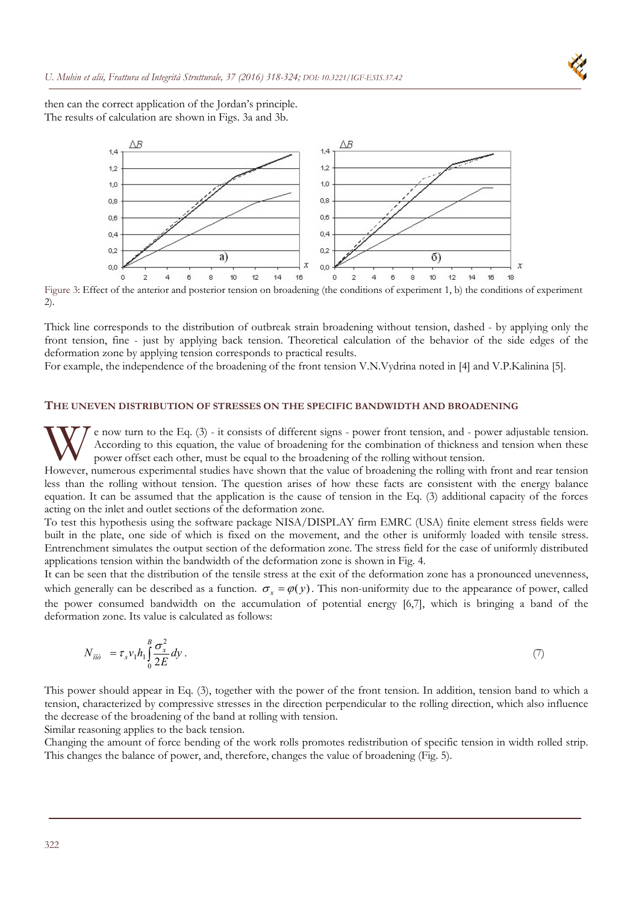

then can the correct application of the Jordan's principle. The results of calculation are shown in Figs. 3a and 3b.



Figure 3: Effect of the anterior and posterior tension on broadening (the conditions of experiment 1, b) the conditions of experiment 2).

Thick line corresponds to the distribution of outbreak strain broadening without tension, dashed - by applying only the front tension, fine - just by applying back tension. Theoretical calculation of the behavior of the side edges of the deformation zone by applying tension corresponds to practical results.

For example, the independence of the broadening of the front tension V.N.Vydrina noted in [4] and V.P.Kalinina [5].

#### **THE UNEVEN DISTRIBUTION OF STRESSES ON THE SPECIFIC BANDWIDTH AND BROADENING**

e now turn to the Eq. (3) - it consists of different signs - power front tension, and - power adjustable tension. According to this equation, the value of broadening for the combination of thickness and tension when these power offset each other, must be equal to the broadening of the rolling without tension. W e now turn to the Eq. (3) - it consists of different signs - power front tension, and - power adjustable tension.<br>According to this equation, the value of broadening for the combination of thickness and tension when thes

less than the rolling without tension. The question arises of how these facts are consistent with the energy balance equation. It can be assumed that the application is the cause of tension in the Eq. (3) additional capacity of the forces acting on the inlet and outlet sections of the deformation zone.

To test this hypothesis using the software package NISA/DISPLAY firm EMRC (USA) finite element stress fields were built in the plate, one side of which is fixed on the movement, and the other is uniformly loaded with tensile stress. Entrenchment simulates the output section of the deformation zone. The stress field for the case of uniformly distributed applications tension within the bandwidth of the deformation zone is shown in Fig. 4.

It can be seen that the distribution of the tensile stress at the exit of the deformation zone has a pronounced unevenness, which generally can be described as a function.  $\sigma_x = \varphi(y)$ . This non-uniformity due to the appearance of power, called the power consumed bandwidth on the accumulation of potential energy [6,7], which is bringing a band of the deformation zone. Its value is calculated as follows:

$$
N_{\vec{m}\hat{\sigma}} = \tau_s v_1 h_1 \int_0^B \frac{\sigma_x^2}{2E} dy \,. \tag{7}
$$

This power should appear in Eq. (3), together with the power of the front tension. In addition, tension band to which a tension, characterized by compressive stresses in the direction perpendicular to the rolling direction, which also influence the decrease of the broadening of the band at rolling with tension.

Similar reasoning applies to the back tension.

Changing the amount of force bending of the work rolls promotes redistribution of specific tension in width rolled strip. This changes the balance of power, and, therefore, changes the value of broadening (Fig. 5).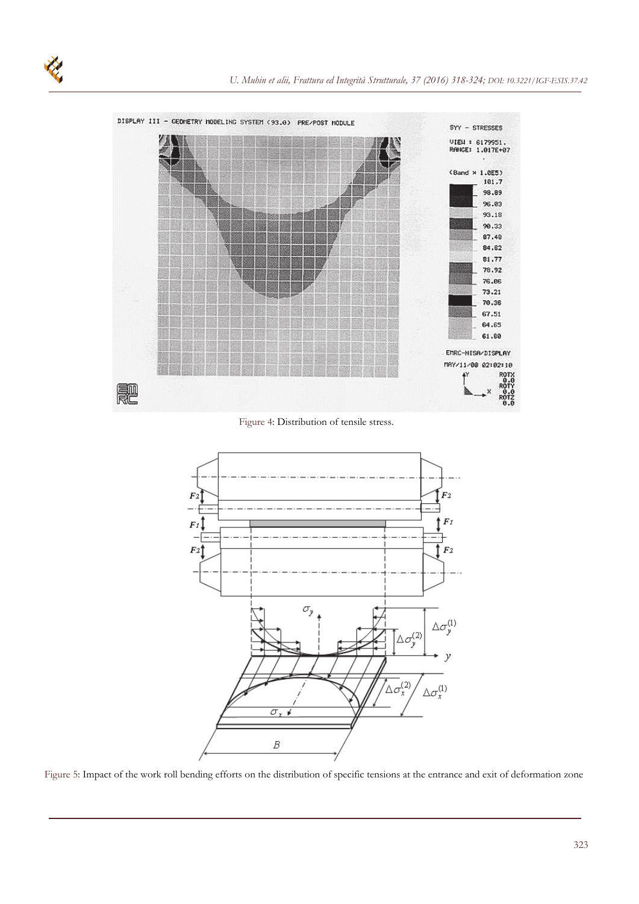

Figure 4: Distribution of tensile stress.



Figure 5: Impact of the work roll bending efforts on the distribution of specific tensions at the entrance and exit of deformation zone